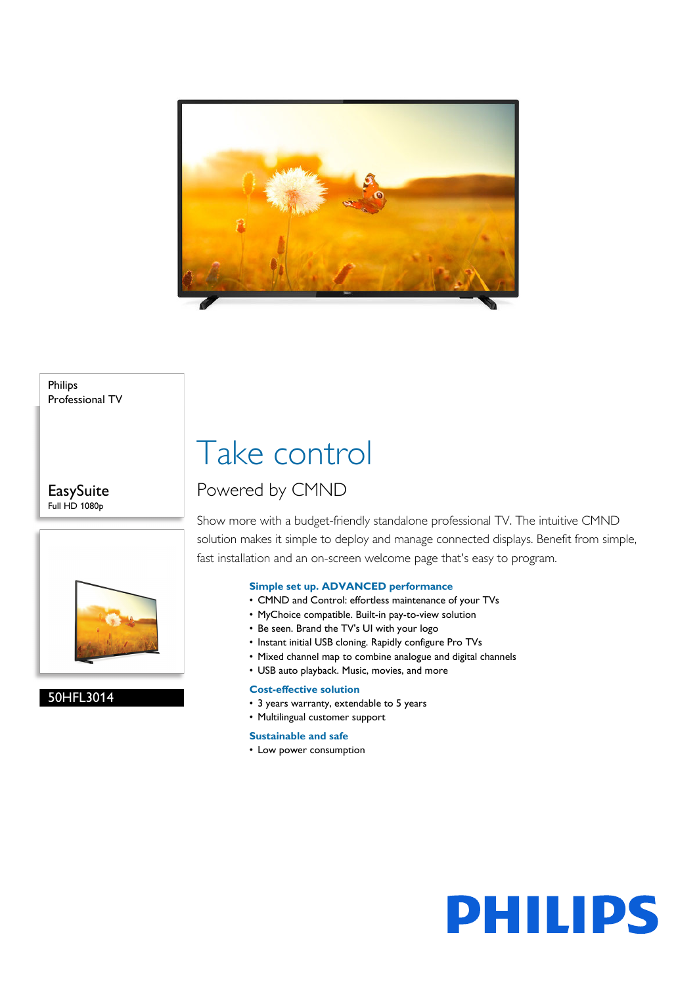

#### Philips Professional TV

#### **EasySuite** Full HD 1080p



#### 50HFL3014

## Take control

### Powered by CMND

Show more with a budget-friendly standalone professional TV. The intuitive CMND solution makes it simple to deploy and manage connected displays. Benefit from simple, fast installation and an on-screen welcome page that's easy to program.

#### **Simple set up. ADVANCED performance**

- CMND and Control: effortless maintenance of your TVs
- MyChoice compatible. Built-in pay-to-view solution
- Be seen. Brand the TV's UI with your logo
- Instant initial USB cloning. Rapidly configure Pro TVs
- Mixed channel map to combine analogue and digital channels
- USB auto playback. Music, movies, and more

#### **Cost-effective solution**

- 3 years warranty, extendable to 5 years
- Multilingual customer support

#### **Sustainable and safe**

• Low power consumption

# **PHILIPS**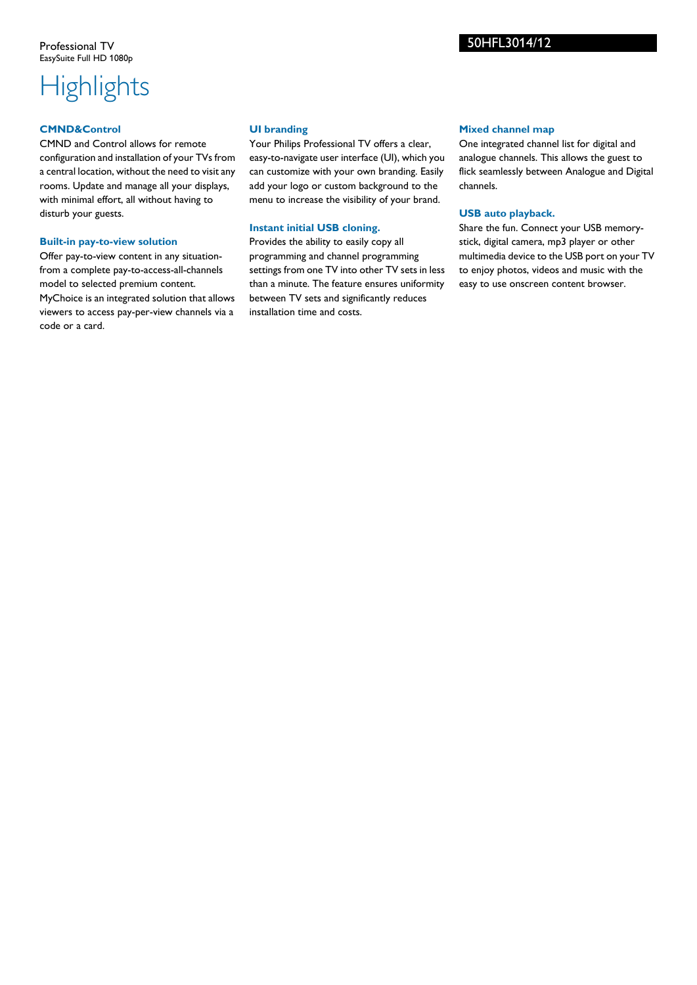### **Highlights**

#### **CMND&Control**

CMND and Control allows for remote configuration and installation of your TVs from a central location, without the need to visit any rooms. Update and manage all your displays, with minimal effort, all without having to disturb your guests.

#### **Built-in pay-to-view solution**

Offer pay-to-view content in any situationfrom a complete pay-to-access-all-channels model to selected premium content. MyChoice is an integrated solution that allows viewers to access pay-per-view channels via a code or a card.

#### **UI branding**

Your Philips Professional TV offers a clear, easy-to-navigate user interface (UI), which you can customize with your own branding. Easily add your logo or custom background to the menu to increase the visibility of your brand.

#### **Instant initial USB cloning.**

Provides the ability to easily copy all programming and channel programming settings from one TV into other TV sets in less than a minute. The feature ensures uniformity between TV sets and significantly reduces installation time and costs.

#### **Mixed channel map**

One integrated channel list for digital and analogue channels. This allows the guest to flick seamlessly between Analogue and Digital channels.

#### **USB auto playback.**

Share the fun. Connect your USB memorystick, digital camera, mp3 player or other multimedia device to the USB port on your TV to enjoy photos, videos and music with the easy to use onscreen content browser.